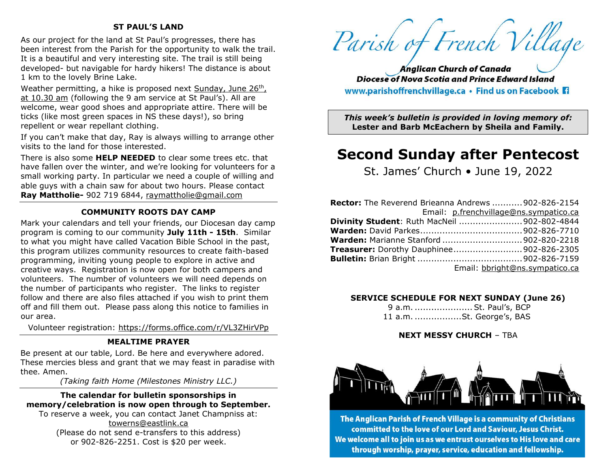### **ST PAUL'S LAND**

As our project for the land at St Paul's progresses, there has been interest from the Parish for the opportunity to walk the trail. It is a beautiful and very interesting site. The trail is still being developed- but navigable for hardy hikers! The distance is about 1 km to the lovely Brine Lake.

Weather permitting, a hike is proposed next Sunday, June 26th, at 10.30 am (following the 9 am service at St Paul's). All are welcome, wear good shoes and appropriate attire. There will be ticks (like most green spaces in NS these days!), so bring repellent or wear repellant clothing.

If you can't make that day, Ray is always willing to arrange other visits to the land for those interested.

There is also some **HELP NEEDED** to clear some trees etc. that have fallen over the winter, and we're looking for volunteers for a small working party. In particular we need a couple of willing and able guys with a chain saw for about two hours. Please contact **Ray Mattholie-** 902 719 6844, [raymattholie@gmail.com](mailto:raymattholie@gmail.com)

#### **COMMUNITY ROOTS DAY CAMP**

Mark your calendars and tell your friends, our Diocesan day camp program is coming to our community **July 11th - 15th**. Similar to what you might have called Vacation Bible School in the past, this program utilizes community resources to create faith-based programming, inviting young people to explore in active and creative ways. Registration is now open for both campers and volunteers. The number of volunteers we will need depends on the number of participants who register. The links to register follow and there are also files attached if you wish to print them off and fill them out. Please pass along this notice to families in our area.

Volunteer registration: <https://forms.office.com/r/VL3ZHirVPp>

#### **MEALTIME PRAYER**

Be present at our table, Lord. Be here and everywhere adored. These mercies bless and grant that we may feast in paradise with thee. Amen.

*(Taking faith Home (Milestones Ministry LLC.)*

#### **The calendar for bulletin sponsorships in memory/celebration is now open through to September.**

To reserve a week, you can contact Janet Champniss at: [towerns@eastlink.ca](mailto:towerns@eastlink.ca) (Please do not send e-transfers to this address) or 902-826-2251. Cost is \$20 per week.

Parish of French Village

**Anglican Church of Canada Diocese of Nova Scotia and Prince Edward Island** www.parishoffrenchvillage.ca • Find us on Facebook Fi

*This week's bulletin is provided in loving memory of:* **Lester and Barb McEachern by Sheila and Family.**

# **Second Sunday after Pentecost**

St. James' Church • June 19, 2022

| <b>Rector:</b> The Reverend Brieanna Andrews  902-826-2154 |                                                    |
|------------------------------------------------------------|----------------------------------------------------|
|                                                            | Email: p.frenchvillage@ns.sympatico.ca             |
|                                                            | <b>Divinity Student: Ruth MacNeil 902-802-4844</b> |
|                                                            |                                                    |
|                                                            | <b>Warden: Marianne Stanford 902-820-2218</b>      |
|                                                            | <b>Treasurer:</b> Dorothy Dauphinee 902-826-2305   |
|                                                            |                                                    |
|                                                            | Email: bbright@ns.sympatico.ca                     |

#### **SERVICE SCHEDULE FOR NEXT SUNDAY (June 26)**

9 a.m. .....................St. Paul's, BCP 11 a.m. .................St. George's, BAS

#### **NEXT MESSY CHURCH** – TBA



The Anglican Parish of French Village is a community of Christians committed to the love of our Lord and Saviour, Jesus Christ. We welcome all to join us as we entrust ourselves to His love and care through worship, prayer, service, education and fellowship.